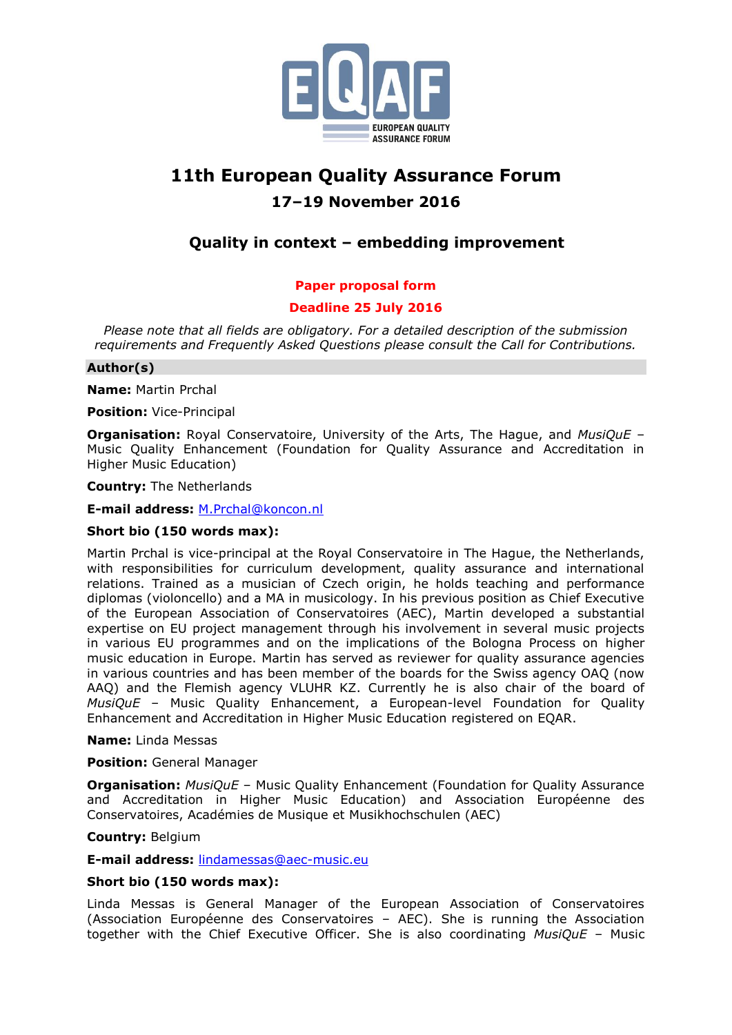

# **11th European Quality Assurance Forum 17–19 November 2016**

# **Quality in context – embedding improvement**

# **Paper proposal form**

# **Deadline 25 July 2016**

*Please note that all fields are obligatory. For a detailed description of the submission requirements and Frequently Asked Questions please consult the Call for Contributions.*

# **Author(s)**

**Name:** Martin Prchal

**Position:** Vice-Principal

**Organisation:** Royal Conservatoire, University of the Arts, The Hague, and *MusiQuE* – Music Quality Enhancement (Foundation for Quality Assurance and Accreditation in Higher Music Education)

**Country:** The Netherlands

**E-mail address:** [M.Prchal@koncon.nl](mailto:M.Prchal@koncon.nl)

# **Short bio (150 words max):**

Martin Prchal is vice-principal at the Royal Conservatoire in The Hague, the Netherlands, with responsibilities for curriculum development, quality assurance and international relations. Trained as a musician of Czech origin, he holds teaching and performance diplomas (violoncello) and a MA in musicology. In his previous position as Chief Executive of the European Association of Conservatoires (AEC), Martin developed a substantial expertise on EU project management through his involvement in several music projects in various EU programmes and on the implications of the Bologna Process on higher music education in Europe. Martin has served as reviewer for quality assurance agencies in various countries and has been member of the boards for the Swiss agency OAQ (now AAQ) and the Flemish agency VLUHR KZ. Currently he is also chair of the board of *MusiQuE* – Music Quality Enhancement, a European-level Foundation for Quality Enhancement and Accreditation in Higher Music Education registered on EQAR.

#### **Name:** Linda Messas

#### **Position:** General Manager

**Organisation:** *MusiQuE* – Music Quality Enhancement (Foundation for Quality Assurance and Accreditation in Higher Music Education) and Association Européenne des Conservatoires, Académies de Musique et Musikhochschulen (AEC)

#### **Country:** Belgium

**E-mail address:** [lindamessas@aec-music.eu](mailto:lindamessas@aec-music.eu)

#### **Short bio (150 words max):**

Linda Messas is General Manager of the European Association of Conservatoires (Association Européenne des Conservatoires – AEC). She is running the Association together with the Chief Executive Officer. She is also coordinating *MusiQuE* – Music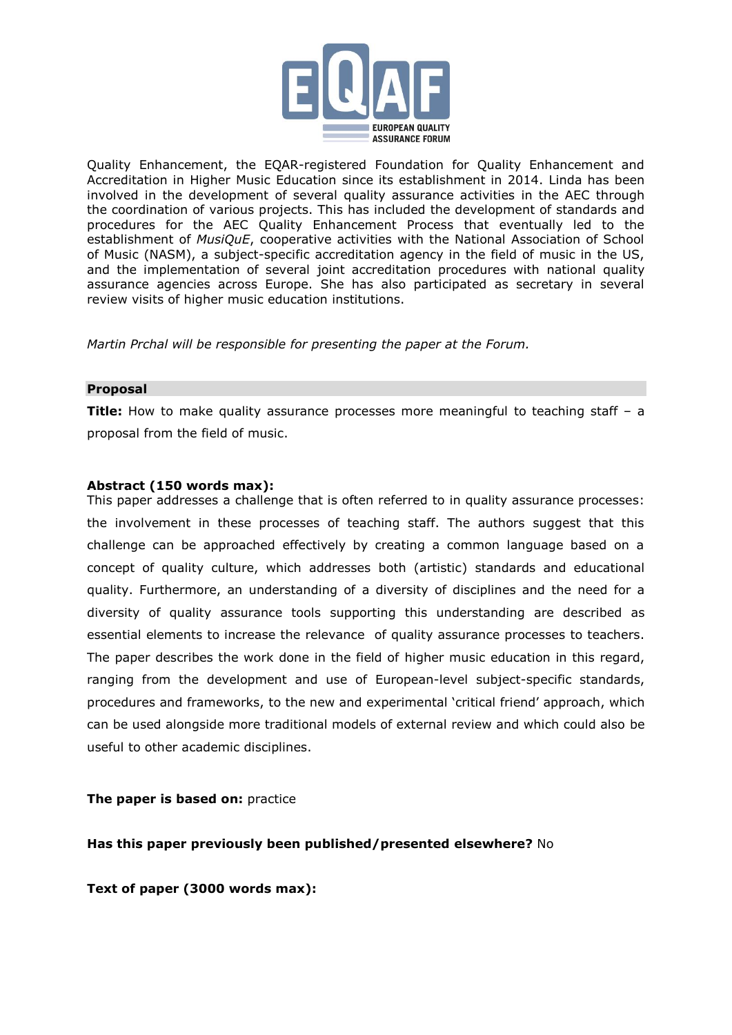

Quality Enhancement, the EQAR-registered Foundation for Quality Enhancement and Accreditation in Higher Music Education since its establishment in 2014. Linda has been involved in the development of several quality assurance activities in the AEC through the coordination of various projects. This has included the development of standards and procedures for the AEC Quality Enhancement Process that eventually led to the establishment of *MusiQuE*, cooperative activities with the National Association of School of Music (NASM), a subject-specific accreditation agency in the field of music in the US, and the implementation of several joint accreditation procedures with national quality assurance agencies across Europe. She has also participated as secretary in several review visits of higher music education institutions.

*Martin Prchal will be responsible for presenting the paper at the Forum.*

#### **Proposal**

**Title:** How to make quality assurance processes more meaningful to teaching staff – a proposal from the field of music.

# **Abstract (150 words max):**

This paper addresses a challenge that is often referred to in quality assurance processes: the involvement in these processes of teaching staff. The authors suggest that this challenge can be approached effectively by creating a common language based on a concept of quality culture, which addresses both (artistic) standards and educational quality. Furthermore, an understanding of a diversity of disciplines and the need for a diversity of quality assurance tools supporting this understanding are described as essential elements to increase the relevance of quality assurance processes to teachers. The paper describes the work done in the field of higher music education in this regard, ranging from the development and use of European-level subject-specific standards, procedures and frameworks, to the new and experimental 'critical friend' approach, which can be used alongside more traditional models of external review and which could also be useful to other academic disciplines.

#### **The paper is based on:** practice

**Has this paper previously been published/presented elsewhere?** No

**Text of paper (3000 words max):**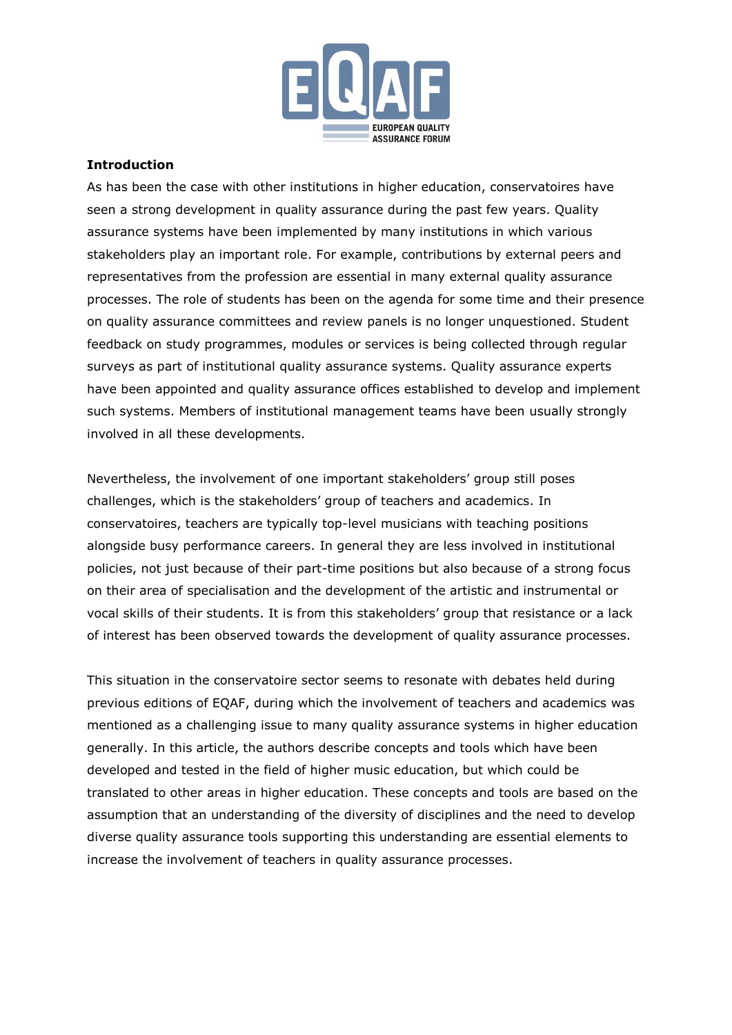

# **Introduction**

As has been the case with other institutions in higher education, conservatoires have seen a strong development in quality assurance during the past few years. Quality assurance systems have been implemented by many institutions in which various stakeholders play an important role. For example, contributions by external peers and representatives from the profession are essential in many external quality assurance processes. The role of students has been on the agenda for some time and their presence on quality assurance committees and review panels is no longer unquestioned. Student feedback on study programmes, modules or services is being collected through regular surveys as part of institutional quality assurance systems. Quality assurance experts have been appointed and quality assurance offices established to develop and implement such systems. Members of institutional management teams have been usually strongly involved in all these developments.

Nevertheless, the involvement of one important stakeholders' group still poses challenges, which is the stakeholders' group of teachers and academics. In conservatoires, teachers are typically top-level musicians with teaching positions alongside busy performance careers. In general they are less involved in institutional policies, not just because of their part-time positions but also because of a strong focus on their area of specialisation and the development of the artistic and instrumental or vocal skills of their students. It is from this stakeholders' group that resistance or a lack of interest has been observed towards the development of quality assurance processes.

This situation in the conservatoire sector seems to resonate with debates held during previous editions of EQAF, during which the involvement of teachers and academics was mentioned as a challenging issue to many quality assurance systems in higher education generally. In this article, the authors describe concepts and tools which have been developed and tested in the field of higher music education, but which could be translated to other areas in higher education. These concepts and tools are based on the assumption that an understanding of the diversity of disciplines and the need to develop diverse quality assurance tools supporting this understanding are essential elements to increase the involvement of teachers in quality assurance processes.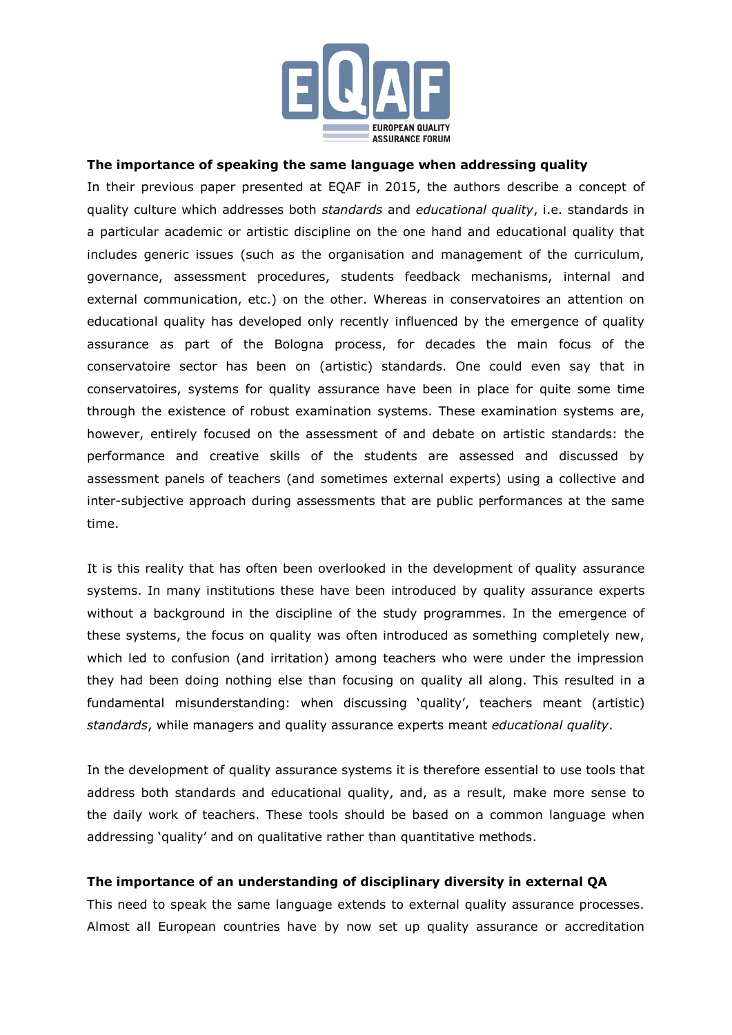

#### **The importance of speaking the same language when addressing quality**

In their previous paper presented at EQAF in 2015, the authors describe a concept of quality culture which addresses both *standards* and *educational quality*, i.e. standards in a particular academic or artistic discipline on the one hand and educational quality that includes generic issues (such as the organisation and management of the curriculum, governance, assessment procedures, students feedback mechanisms, internal and external communication, etc.) on the other. Whereas in conservatoires an attention on educational quality has developed only recently influenced by the emergence of quality assurance as part of the Bologna process, for decades the main focus of the conservatoire sector has been on (artistic) standards. One could even say that in conservatoires, systems for quality assurance have been in place for quite some time through the existence of robust examination systems. These examination systems are, however, entirely focused on the assessment of and debate on artistic standards: the performance and creative skills of the students are assessed and discussed by assessment panels of teachers (and sometimes external experts) using a collective and inter-subjective approach during assessments that are public performances at the same time.

It is this reality that has often been overlooked in the development of quality assurance systems. In many institutions these have been introduced by quality assurance experts without a background in the discipline of the study programmes. In the emergence of these systems, the focus on quality was often introduced as something completely new, which led to confusion (and irritation) among teachers who were under the impression they had been doing nothing else than focusing on quality all along. This resulted in a fundamental misunderstanding: when discussing 'quality', teachers meant (artistic) *standards*, while managers and quality assurance experts meant *educational quality*.

In the development of quality assurance systems it is therefore essential to use tools that address both standards and educational quality, and, as a result, make more sense to the daily work of teachers. These tools should be based on a common language when addressing 'quality' and on qualitative rather than quantitative methods.

# **The importance of an understanding of disciplinary diversity in external QA**

This need to speak the same language extends to external quality assurance processes. Almost all European countries have by now set up quality assurance or accreditation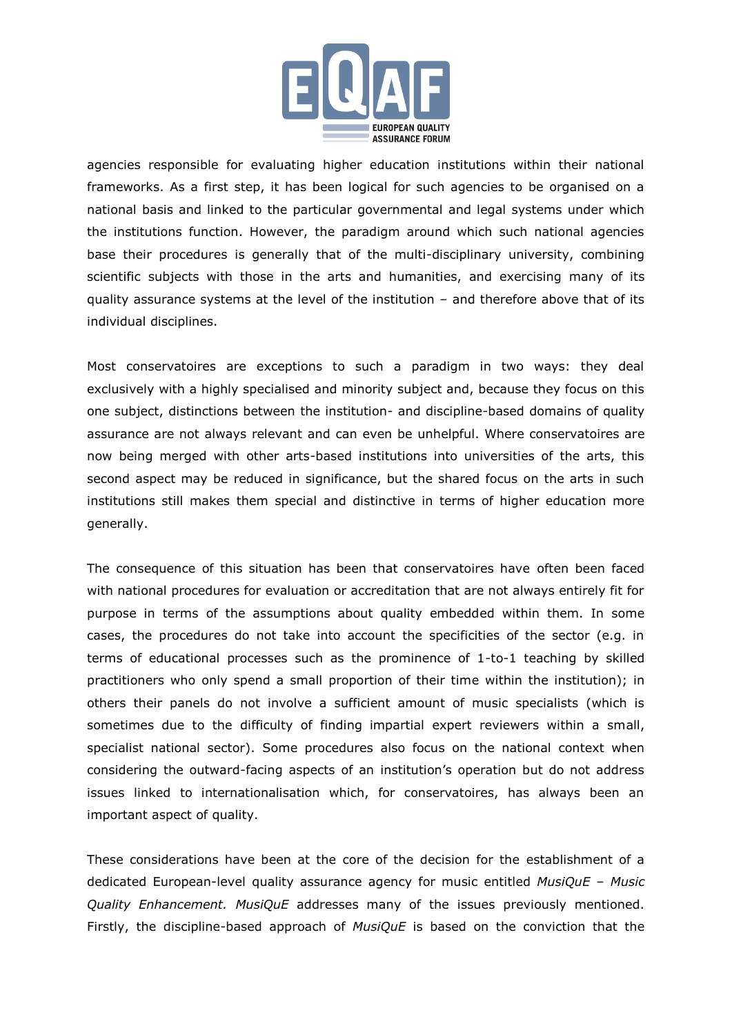

agencies responsible for evaluating higher education institutions within their national frameworks. As a first step, it has been logical for such agencies to be organised on a national basis and linked to the particular governmental and legal systems under which the institutions function. However, the paradigm around which such national agencies base their procedures is generally that of the multi-disciplinary university, combining scientific subjects with those in the arts and humanities, and exercising many of its quality assurance systems at the level of the institution – and therefore above that of its individual disciplines.

Most conservatoires are exceptions to such a paradigm in two ways: they deal exclusively with a highly specialised and minority subject and, because they focus on this one subject, distinctions between the institution- and discipline-based domains of quality assurance are not always relevant and can even be unhelpful. Where conservatoires are now being merged with other arts-based institutions into universities of the arts, this second aspect may be reduced in significance, but the shared focus on the arts in such institutions still makes them special and distinctive in terms of higher education more generally.

The consequence of this situation has been that conservatoires have often been faced with national procedures for evaluation or accreditation that are not always entirely fit for purpose in terms of the assumptions about quality embedded within them. In some cases, the procedures do not take into account the specificities of the sector (e.g. in terms of educational processes such as the prominence of 1-to-1 teaching by skilled practitioners who only spend a small proportion of their time within the institution); in others their panels do not involve a sufficient amount of music specialists (which is sometimes due to the difficulty of finding impartial expert reviewers within a small, specialist national sector). Some procedures also focus on the national context when considering the outward-facing aspects of an institution's operation but do not address issues linked to internationalisation which, for conservatoires, has always been an important aspect of quality.

These considerations have been at the core of the decision for the establishment of a dedicated European-level quality assurance agency for music entitled *MusiQuE – Music Quality Enhancement. MusiQuE* addresses many of the issues previously mentioned. Firstly, the discipline-based approach of *MusiQuE* is based on the conviction that the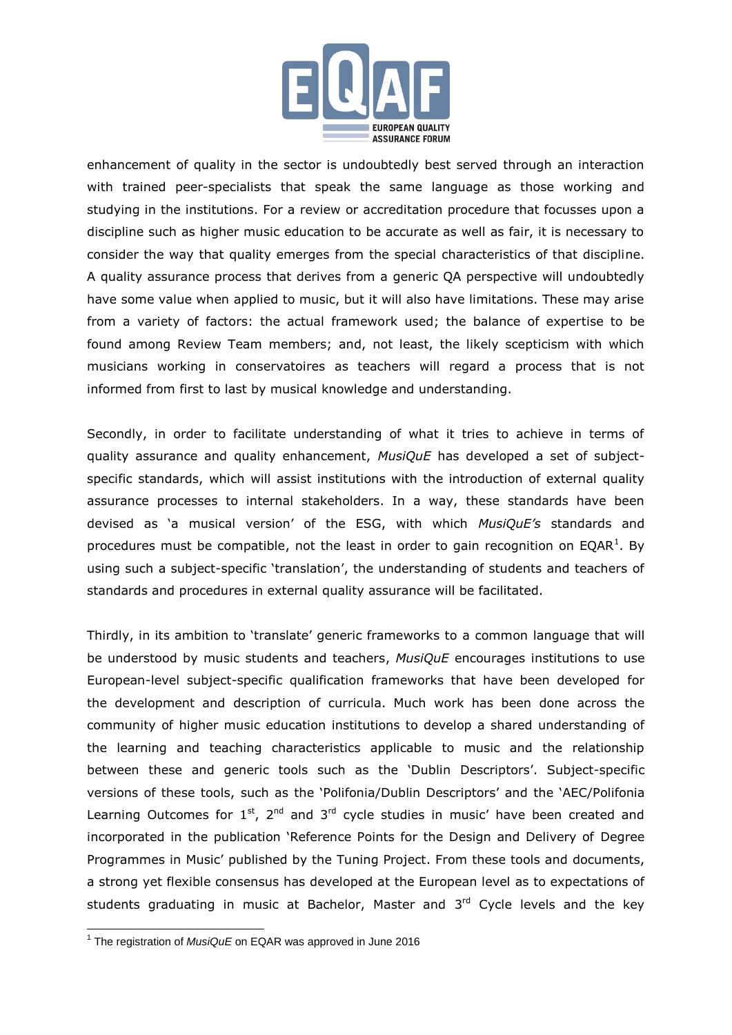

enhancement of quality in the sector is undoubtedly best served through an interaction with trained peer-specialists that speak the same language as those working and studying in the institutions. For a review or accreditation procedure that focusses upon a discipline such as higher music education to be accurate as well as fair, it is necessary to consider the way that quality emerges from the special characteristics of that discipline. A quality assurance process that derives from a generic QA perspective will undoubtedly have some value when applied to music, but it will also have limitations. These may arise from a variety of factors: the actual framework used; the balance of expertise to be found among Review Team members; and, not least, the likely scepticism with which musicians working in conservatoires as teachers will regard a process that is not informed from first to last by musical knowledge and understanding.

Secondly, in order to facilitate understanding of what it tries to achieve in terms of quality assurance and quality enhancement, *MusiQuE* has developed a set of subjectspecific standards, which will assist institutions with the introduction of external quality assurance processes to internal stakeholders. In a way, these standards have been devised as 'a musical version' of the ESG, with which *MusiQuE's* standards and procedures must be compatible, not the least in order to gain recognition on EQAR<sup>1</sup>. By using such a subject-specific 'translation', the understanding of students and teachers of standards and procedures in external quality assurance will be facilitated.

Thirdly, in its ambition to 'translate' generic frameworks to a common language that will be understood by music students and teachers, *MusiQuE* encourages institutions to use European-level subject-specific qualification frameworks that have been developed for the development and description of curricula. Much work has been done across the community of higher music education institutions to develop a shared understanding of the learning and teaching characteristics applicable to music and the relationship between these and generic tools such as the 'Dublin Descriptors'. Subject-specific versions of these tools, such as the 'Polifonia/Dublin Descriptors' and the 'AEC/Polifonia Learning Outcomes for  $1^{st}$ ,  $2^{nd}$  and  $3^{rd}$  cycle studies in music' have been created and incorporated in the publication 'Reference Points for the Design and Delivery of Degree Programmes in Music' published by the Tuning Project. From these tools and documents, a strong yet flexible consensus has developed at the European level as to expectations of students graduating in music at Bachelor, Master and 3<sup>rd</sup> Cycle levels and the key

 1 The registration of *MusiQuE* on EQAR was approved in June 2016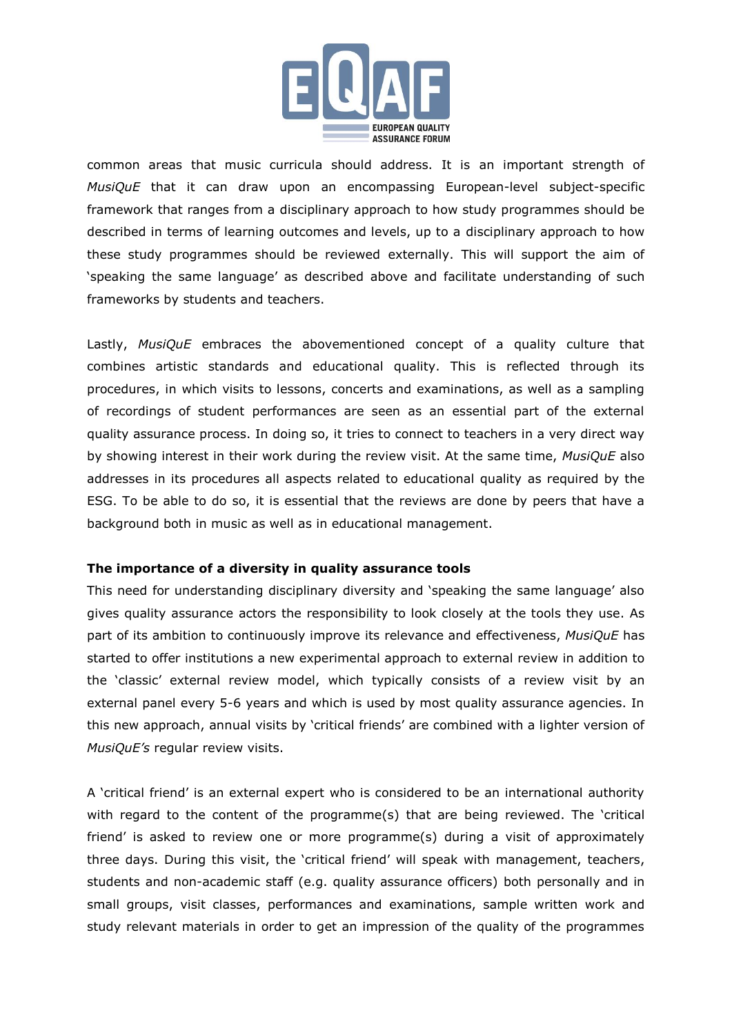

common areas that music curricula should address. It is an important strength of *MusiQuE* that it can draw upon an encompassing European-level subject-specific framework that ranges from a disciplinary approach to how study programmes should be described in terms of learning outcomes and levels, up to a disciplinary approach to how these study programmes should be reviewed externally. This will support the aim of 'speaking the same language' as described above and facilitate understanding of such frameworks by students and teachers.

Lastly, *MusiQuE* embraces the abovementioned concept of a quality culture that combines artistic standards and educational quality. This is reflected through its procedures, in which visits to lessons, concerts and examinations, as well as a sampling of recordings of student performances are seen as an essential part of the external quality assurance process. In doing so, it tries to connect to teachers in a very direct way by showing interest in their work during the review visit. At the same time, *MusiQuE* also addresses in its procedures all aspects related to educational quality as required by the ESG. To be able to do so, it is essential that the reviews are done by peers that have a background both in music as well as in educational management.

# **The importance of a diversity in quality assurance tools**

This need for understanding disciplinary diversity and 'speaking the same language' also gives quality assurance actors the responsibility to look closely at the tools they use. As part of its ambition to continuously improve its relevance and effectiveness, *MusiQuE* has started to offer institutions a new experimental approach to external review in addition to the 'classic' external review model, which typically consists of a review visit by an external panel every 5-6 years and which is used by most quality assurance agencies. In this new approach, annual visits by 'critical friends' are combined with a lighter version of *MusiQuE's* regular review visits.

A 'critical friend' is an external expert who is considered to be an international authority with regard to the content of the programme(s) that are being reviewed. The 'critical friend' is asked to review one or more programme(s) during a visit of approximately three days. During this visit, the 'critical friend' will speak with management, teachers, students and non-academic staff (e.g. quality assurance officers) both personally and in small groups, visit classes, performances and examinations, sample written work and study relevant materials in order to get an impression of the quality of the programmes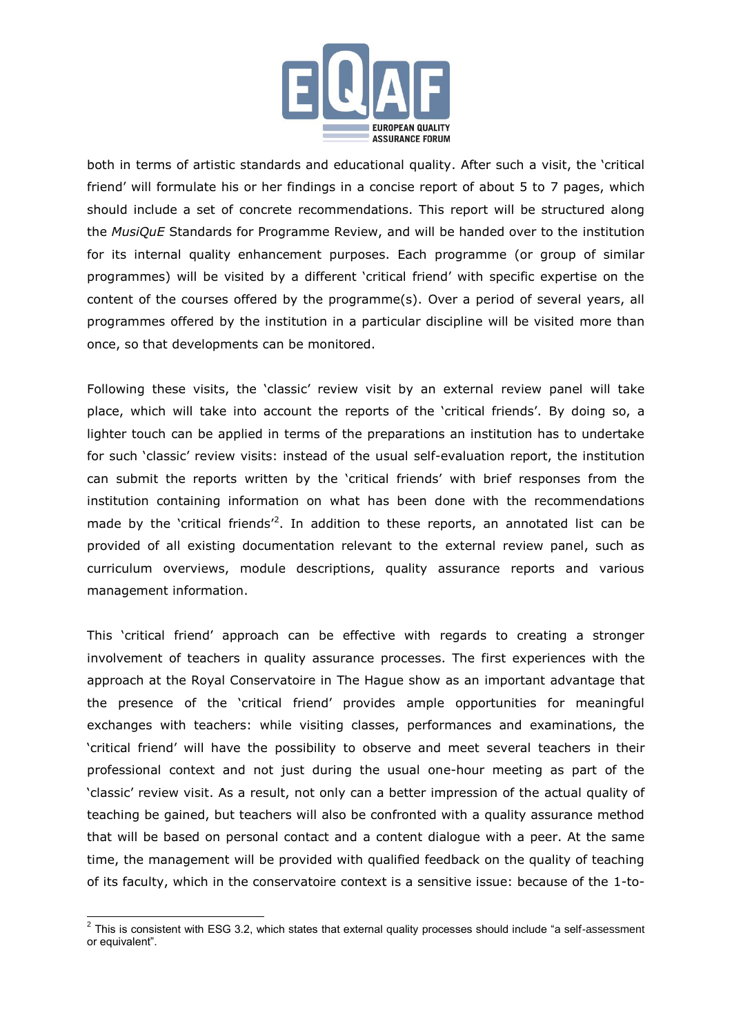

both in terms of artistic standards and educational quality. After such a visit, the 'critical friend' will formulate his or her findings in a concise report of about 5 to 7 pages, which should include a set of concrete recommendations. This report will be structured along the *MusiQuE* Standards for Programme Review, and will be handed over to the institution for its internal quality enhancement purposes. Each programme (or group of similar programmes) will be visited by a different 'critical friend' with specific expertise on the content of the courses offered by the programme(s). Over a period of several years, all programmes offered by the institution in a particular discipline will be visited more than once, so that developments can be monitored.

Following these visits, the 'classic' review visit by an external review panel will take place, which will take into account the reports of the 'critical friends'. By doing so, a lighter touch can be applied in terms of the preparations an institution has to undertake for such 'classic' review visits: instead of the usual self-evaluation report, the institution can submit the reports written by the 'critical friends' with brief responses from the institution containing information on what has been done with the recommendations made by the 'critical friends<sup> $2$ </sup>. In addition to these reports, an annotated list can be provided of all existing documentation relevant to the external review panel, such as curriculum overviews, module descriptions, quality assurance reports and various management information.

This 'critical friend' approach can be effective with regards to creating a stronger involvement of teachers in quality assurance processes. The first experiences with the approach at the Royal Conservatoire in The Hague show as an important advantage that the presence of the 'critical friend' provides ample opportunities for meaningful exchanges with teachers: while visiting classes, performances and examinations, the 'critical friend' will have the possibility to observe and meet several teachers in their professional context and not just during the usual one-hour meeting as part of the 'classic' review visit. As a result, not only can a better impression of the actual quality of teaching be gained, but teachers will also be confronted with a quality assurance method that will be based on personal contact and a content dialogue with a peer. At the same time, the management will be provided with qualified feedback on the quality of teaching of its faculty, which in the conservatoire context is a sensitive issue: because of the 1-to-

 2 This is consistent with ESG 3.2, which states that external quality processes should include "a self-assessment or equivalent".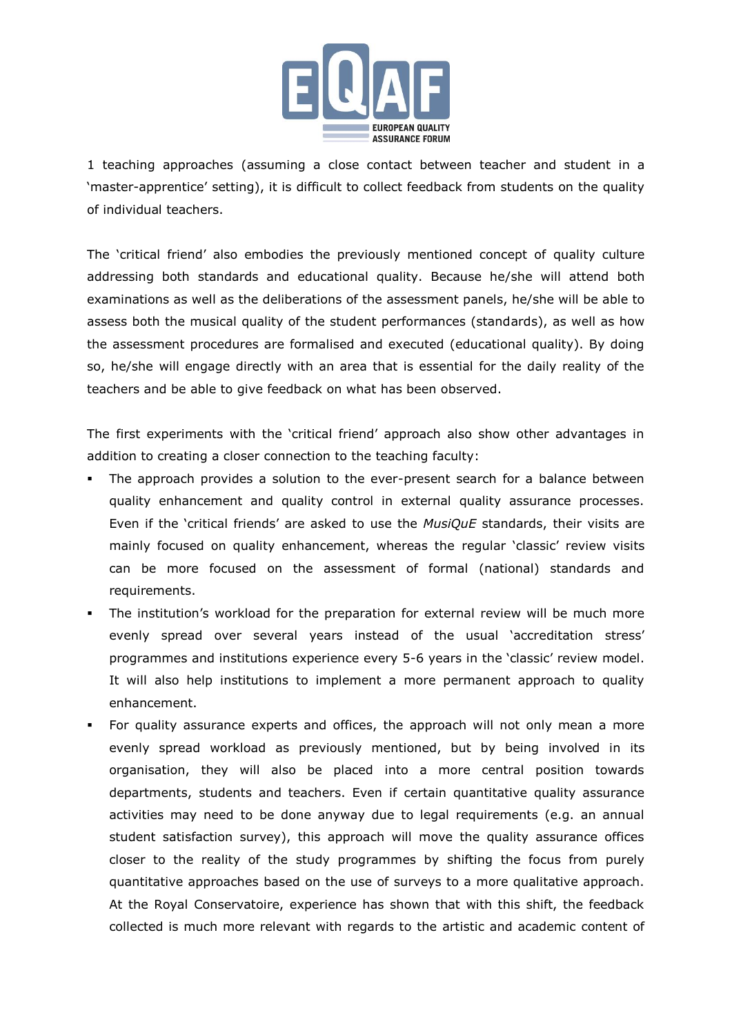

1 teaching approaches (assuming a close contact between teacher and student in a 'master-apprentice' setting), it is difficult to collect feedback from students on the quality of individual teachers.

The 'critical friend' also embodies the previously mentioned concept of quality culture addressing both standards and educational quality. Because he/she will attend both examinations as well as the deliberations of the assessment panels, he/she will be able to assess both the musical quality of the student performances (standards), as well as how the assessment procedures are formalised and executed (educational quality). By doing so, he/she will engage directly with an area that is essential for the daily reality of the teachers and be able to give feedback on what has been observed.

The first experiments with the 'critical friend' approach also show other advantages in addition to creating a closer connection to the teaching faculty:

- The approach provides a solution to the ever-present search for a balance between quality enhancement and quality control in external quality assurance processes. Even if the 'critical friends' are asked to use the *MusiQuE* standards, their visits are mainly focused on quality enhancement, whereas the regular 'classic' review visits can be more focused on the assessment of formal (national) standards and requirements.
- The institution's workload for the preparation for external review will be much more evenly spread over several years instead of the usual 'accreditation stress' programmes and institutions experience every 5-6 years in the 'classic' review model. It will also help institutions to implement a more permanent approach to quality enhancement.
- For quality assurance experts and offices, the approach will not only mean a more evenly spread workload as previously mentioned, but by being involved in its organisation, they will also be placed into a more central position towards departments, students and teachers. Even if certain quantitative quality assurance activities may need to be done anyway due to legal requirements (e.g. an annual student satisfaction survey), this approach will move the quality assurance offices closer to the reality of the study programmes by shifting the focus from purely quantitative approaches based on the use of surveys to a more qualitative approach. At the Royal Conservatoire, experience has shown that with this shift, the feedback collected is much more relevant with regards to the artistic and academic content of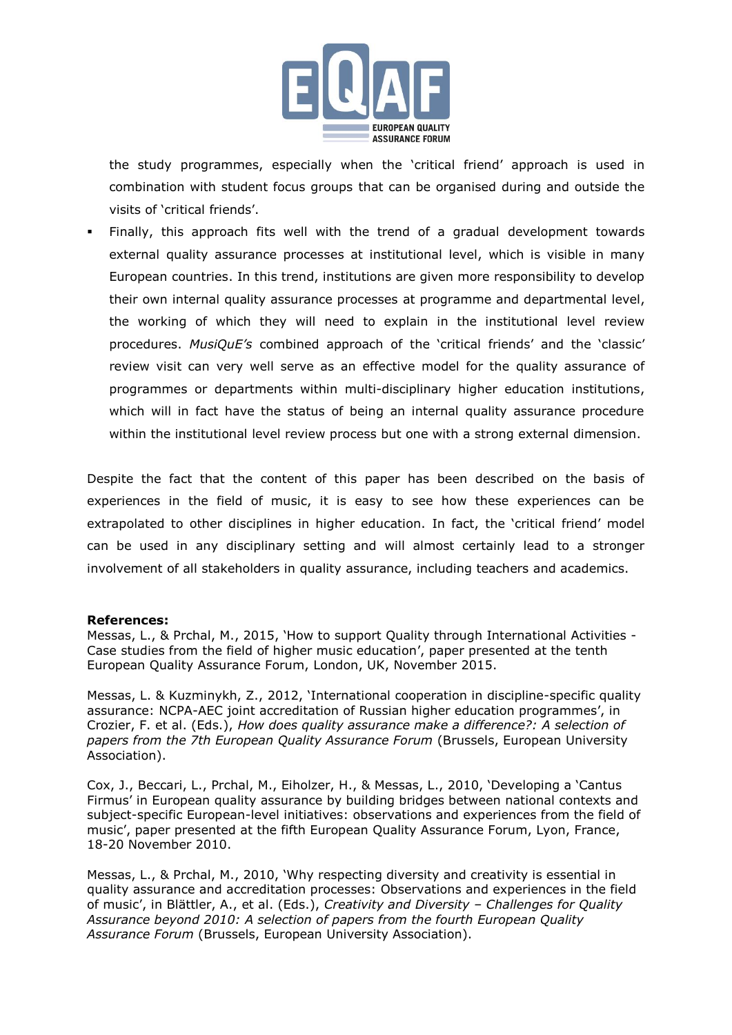

the study programmes, especially when the 'critical friend' approach is used in combination with student focus groups that can be organised during and outside the visits of 'critical friends'.

 Finally, this approach fits well with the trend of a gradual development towards external quality assurance processes at institutional level, which is visible in many European countries. In this trend, institutions are given more responsibility to develop their own internal quality assurance processes at programme and departmental level, the working of which they will need to explain in the institutional level review procedures. *MusiQuE's* combined approach of the 'critical friends' and the 'classic' review visit can very well serve as an effective model for the quality assurance of programmes or departments within multi-disciplinary higher education institutions, which will in fact have the status of being an internal quality assurance procedure within the institutional level review process but one with a strong external dimension.

Despite the fact that the content of this paper has been described on the basis of experiences in the field of music, it is easy to see how these experiences can be extrapolated to other disciplines in higher education. In fact, the 'critical friend' model can be used in any disciplinary setting and will almost certainly lead to a stronger involvement of all stakeholders in quality assurance, including teachers and academics.

#### **References:**

Messas, L., & Prchal, M., 2015, 'How to support Quality through International Activities - Case studies from the field of higher music education', paper presented at the tenth European Quality Assurance Forum, London, UK, November 2015.

Messas, L. & Kuzminykh, Z., 2012, 'International cooperation in discipline-specific quality assurance: NCPA-AEC joint accreditation of Russian higher education programmes', in Crozier, F. et al. (Eds.), *How does quality assurance make a difference?: A selection of papers from the 7th European Quality Assurance Forum* (Brussels, European University Association).

Cox, J., Beccari, L., Prchal, M., Eiholzer, H., & Messas, L., 2010, 'Developing a 'Cantus Firmus' in European quality assurance by building bridges between national contexts and subject-specific European-level initiatives: observations and experiences from the field of music', paper presented at the fifth European Quality Assurance Forum, Lyon, France, 18-20 November 2010.

Messas, L., & Prchal, M., 2010, 'Why respecting diversity and creativity is essential in quality assurance and accreditation processes: Observations and experiences in the field of music', in Blättler, A., et al. (Eds.), *Creativity and Diversity – Challenges for Quality Assurance beyond 2010: A selection of papers from the fourth European Quality Assurance Forum* (Brussels, European University Association).